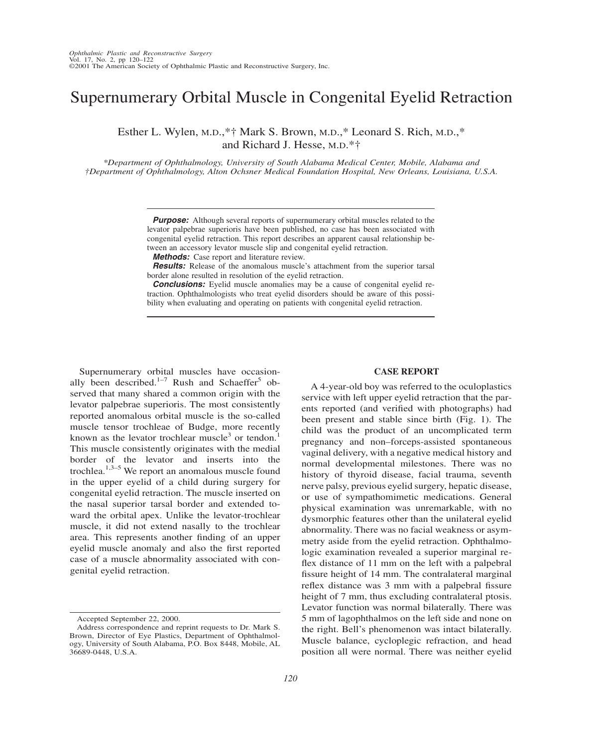## Supernumerary Orbital Muscle in Congenital Eyelid Retraction

Esther L. Wylen, M.D.,\*† Mark S. Brown, M.D.,\* Leonard S. Rich, M.D.,\* and Richard J. Hesse, M.D.\*†

*\*Department of Ophthalmology, University of South Alabama Medical Center, Mobile, Alabama and †Department of Ophthalmology, Alton Ochsner Medical Foundation Hospital, New Orleans, Louisiana, U.S.A.*

> *Purpose:* Although several reports of supernumerary orbital muscles related to the levator palpebrae superioris have been published, no case has been associated with congenital eyelid retraction. This report describes an apparent causal relationship between an accessory levator muscle slip and congenital eyelid retraction.

*Methods:* Case report and literature review.

*Results:* Release of the anomalous muscle's attachment from the superior tarsal border alone resulted in resolution of the eyelid retraction.

**Conclusions:** Eyelid muscle anomalies may be a cause of congenital eyelid retraction. Ophthalmologists who treat eyelid disorders should be aware of this possibility when evaluating and operating on patients with congenital eyelid retraction.

Supernumerary orbital muscles have occasionally been described.<sup>1–7</sup> Rush and Schaeffer<sup>5</sup> observed that many shared a common origin with the levator palpebrae superioris. The most consistently reported anomalous orbital muscle is the so-called muscle tensor trochleae of Budge, more recently known as the levator trochlear muscle<sup>3</sup> or tendon.<sup>1</sup> This muscle consistently originates with the medial border of the levator and inserts into the trochlea. $1,3-5$  We report an anomalous muscle found in the upper eyelid of a child during surgery for congenital eyelid retraction. The muscle inserted on the nasal superior tarsal border and extended toward the orbital apex. Unlike the levator-trochlear muscle, it did not extend nasally to the trochlear area. This represents another finding of an upper eyelid muscle anomaly and also the first reported case of a muscle abnormality associated with congenital eyelid retraction.

## **CASE REPORT**

A 4-year-old boy was referred to the oculoplastics service with left upper eyelid retraction that the parents reported (and verified with photographs) had been present and stable since birth (Fig. 1). The child was the product of an uncomplicated term pregnancy and non–forceps-assisted spontaneous vaginal delivery, with a negative medical history and normal developmental milestones. There was no history of thyroid disease, facial trauma, seventh nerve palsy, previous eyelid surgery, hepatic disease, or use of sympathomimetic medications. General physical examination was unremarkable, with no dysmorphic features other than the unilateral eyelid abnormality. There was no facial weakness or asymmetry aside from the eyelid retraction. Ophthalmologic examination revealed a superior marginal reflex distance of 11 mm on the left with a palpebral fissure height of 14 mm. The contralateral marginal reflex distance was 3 mm with a palpebral fissure height of 7 mm, thus excluding contralateral ptosis. Levator function was normal bilaterally. There was 5 mm of lagophthalmos on the left side and none on the right. Bell's phenomenon was intact bilaterally. Muscle balance, cycloplegic refraction, and head position all were normal. There was neither eyelid

Accepted September 22, 2000.

Address correspondence and reprint requests to Dr. Mark S. Brown, Director of Eye Plastics, Department of Ophthalmology, University of South Alabama, P.O. Box 8448, Mobile, AL 36689-0448, U.S.A.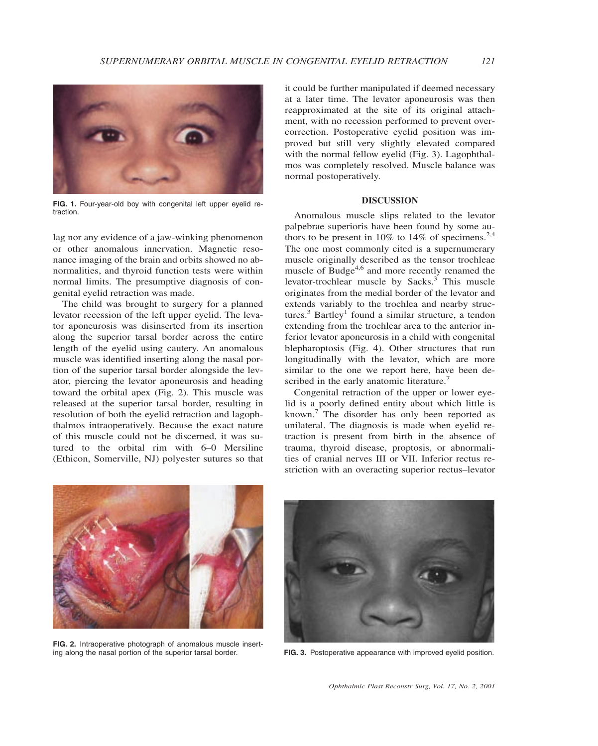

**FIG. 1.** Four-year-old boy with congenital left upper eyelid retraction.

lag nor any evidence of a jaw-winking phenomenon or other anomalous innervation. Magnetic resonance imaging of the brain and orbits showed no abnormalities, and thyroid function tests were within normal limits. The presumptive diagnosis of congenital eyelid retraction was made.

The child was brought to surgery for a planned levator recession of the left upper eyelid. The levator aponeurosis was disinserted from its insertion along the superior tarsal border across the entire length of the eyelid using cautery. An anomalous muscle was identified inserting along the nasal portion of the superior tarsal border alongside the levator, piercing the levator aponeurosis and heading toward the orbital apex (Fig. 2). This muscle was released at the superior tarsal border, resulting in resolution of both the eyelid retraction and lagophthalmos intraoperatively. Because the exact nature of this muscle could not be discerned, it was sutured to the orbital rim with 6–0 Mersiline (Ethicon, Somerville, NJ) polyester sutures so that

it could be further manipulated if deemed necessary at a later time. The levator aponeurosis was then reapproximated at the site of its original attachment, with no recession performed to prevent overcorrection. Postoperative eyelid position was improved but still very slightly elevated compared with the normal fellow eyelid (Fig. 3). Lagophthalmos was completely resolved. Muscle balance was normal postoperatively.

## **DISCUSSION**

Anomalous muscle slips related to the levator palpebrae superioris have been found by some authors to be present in 10% to 14% of specimens.<sup>2,4</sup> The one most commonly cited is a supernumerary muscle originally described as the tensor trochleae muscle of Budge<sup>4,6</sup> and more recently renamed the levator-trochlear muscle by Sacks. $3$  This muscle originates from the medial border of the levator and extends variably to the trochlea and nearby structures.<sup>3</sup> Bartley<sup>1</sup> found a similar structure, a tendon extending from the trochlear area to the anterior inferior levator aponeurosis in a child with congenital blepharoptosis (Fig. 4). Other structures that run longitudinally with the levator, which are more similar to the one we report here, have been described in the early anatomic literature.<sup>7</sup>

Congenital retraction of the upper or lower eyelid is a poorly defined entity about which little is known.<sup>7</sup> The disorder has only been reported as unilateral. The diagnosis is made when eyelid retraction is present from birth in the absence of trauma, thyroid disease, proptosis, or abnormalities of cranial nerves III or VII. Inferior rectus restriction with an overacting superior rectus–levator



**FIG. 2.** Intraoperative photograph of anomalous muscle inserting along the nasal portion of the superior tarsal border.



FIG. 3. Postoperative appearance with improved eyelid position.